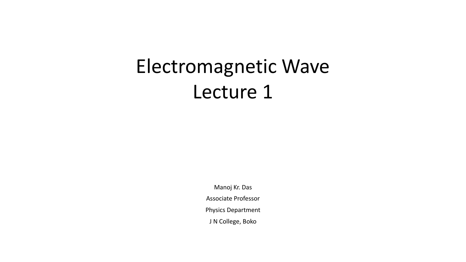# Electromagnetic Wave Lecture 1

Manoj Kr. Das Associate Professor Physics Department J N College, Boko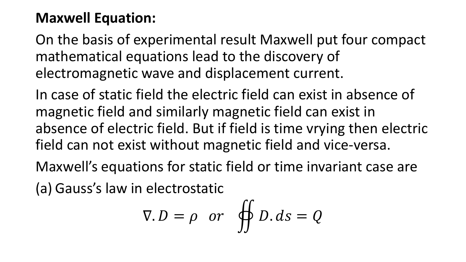## **Maxwell Equation:**

On the basis of experimental result Maxwell put four compact mathematical equations lead to the discovery of electromagnetic wave and displacement current.

In case of static field the electric field can exist in absence of magnetic field and similarly magnetic field can exist in absence of electric field. But if field is time vrying then electric field can not exist without magnetic field and vice-versa.

Maxwell's equations for static field or time invariant case are

(a) Gauss's law in electrostatic

$$
\nabla.D = \rho \quad or \quad \oiint D. \, ds = Q
$$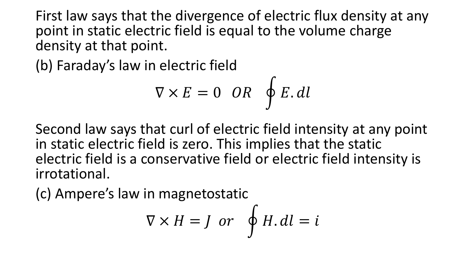First law says that the divergence of electric flux density at any point in static electric field is equal to the volume charge density at that point.

(b) Faraday's law in electric field

$$
\nabla \times E = 0 \quad OR \quad \oint E. \, dl
$$

Second law says that curl of electric field intensity at any point in static electric field is zero. This implies that the static electric field is a conservative field or electric field intensity is irrotational.

(c) Ampere's law in magnetostatic

$$
\nabla \times H = J \text{ or } \oint H. dl = i
$$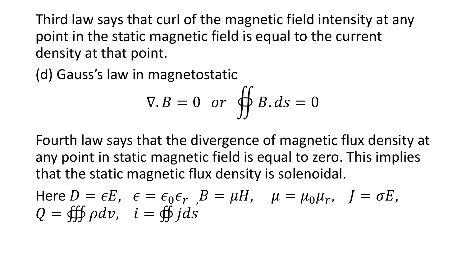Third law says that curl of the magnetic field intensity at any point in the static magnetic field is equal to the current density at that point.

(d) Gauss's law in magnetostatic

$$
\nabla.B = 0 \quad or \quad \oiint B.ds = 0
$$

Fourth law says that the divergence of magnetic flux density at any point in static magnetic field is equal to zero. This implies that the static magnetic flux density is solenoidal.

Here 
$$
D = \epsilon E
$$
,  $\epsilon = \epsilon_0 \epsilon_r$ ,  $B = \mu H$ ,  $\mu = \mu_0 \mu_r$ ,  $J = \sigma E$ ,  
\n $Q = \oiint \rho dv$ ,  $i = \oiint j ds$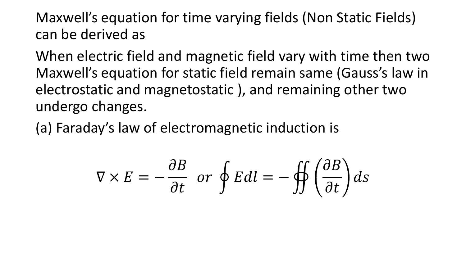Maxwell's equation for time varying fields (Non Static Fields) can be derived as

When electric field and magnetic field vary with time then two Maxwell's equation for static field remain same (Gauss's law in electrostatic and magnetostatic ), and remaining other two undergo changes.

(a) Faraday's law of electromagnetic induction is

$$
\nabla \times E = -\frac{\partial B}{\partial t} \text{ or } \oint E dl = -\oiint \left(\frac{\partial B}{\partial t}\right) ds
$$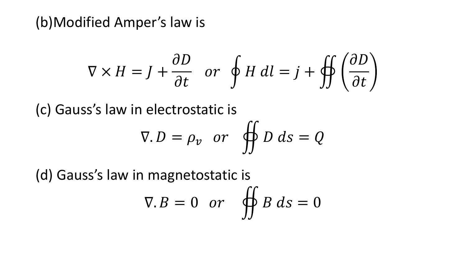(b)Modified Amper's law is

$$
\nabla \times H = J + \frac{\partial D}{\partial t} \quad \text{or} \quad \oint H \, dl = j + \oiint \left(\frac{\partial D}{\partial t}\right)
$$

(c) Gauss's law in electrostatic is

$$
\nabla.D = \rho_v \text{ or } \oiint D ds = Q
$$

(d) Gauss's law in magnetostatic is  $\nabla.B = 0$  or  $\oiint B ds = 0$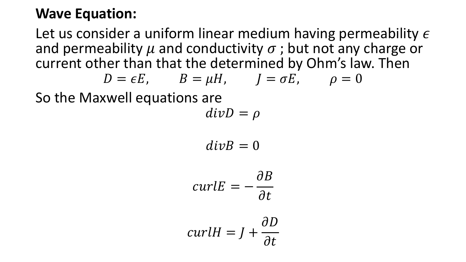### **Wave Equation:**

Let us consider a uniform linear medium having permeability  $\epsilon$ and permeability  $\mu$  and conductivity  $\sigma$ ; but not any charge or current other than that the determined by Ohm's law. Then

$$
D = \epsilon E, \qquad B = \mu H, \qquad J = \sigma E, \qquad \rho = 0
$$

So the Maxwell equations are

$$
divD=\rho
$$

$$
divB=0
$$

$$
curlE = -\frac{\partial B}{\partial t}
$$

$$
curlH = J + \frac{\partial D}{\partial t}
$$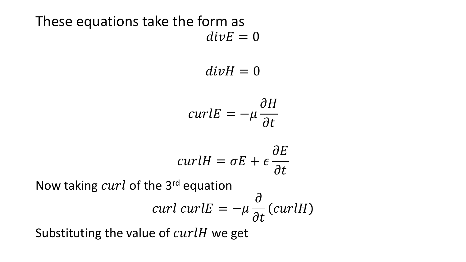These equations take the form as  $div E = 0$ 

$$
divH=0
$$

$$
curl E = -\mu \frac{\partial H}{\partial t}
$$

$$
curlH = \sigma E + \epsilon \frac{\partial E}{\partial t}
$$

Now taking  $curl$  of the 3<sup>rd</sup> equation

$$
curl curlE = -\mu \frac{\partial}{\partial t}(curlH)
$$

 $\Omega$ 

Substituting the value of  $curlH$  we get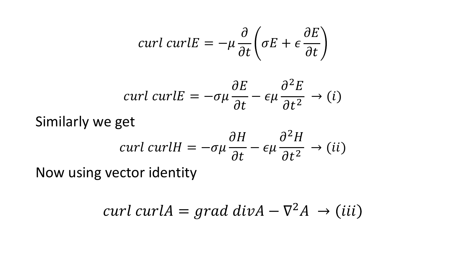$$
curl curl E = -\mu \frac{\partial}{\partial t} \left( \sigma E + \epsilon \frac{\partial E}{\partial t} \right)
$$

$$
curl curl E = -\sigma\mu \frac{\partial E}{\partial t} - \epsilon\mu \frac{\partial^2 E}{\partial t^2} \rightarrow (i)
$$

#### Similarly we get

$$
curl curlH = -\sigma\mu \frac{\partial H}{\partial t} - \epsilon\mu \frac{\partial^2 H}{\partial t^2} \rightarrow (ii)
$$

Now using vector identity

$$
curl curl A = grad div A - \nabla^2 A \rightarrow (iii)
$$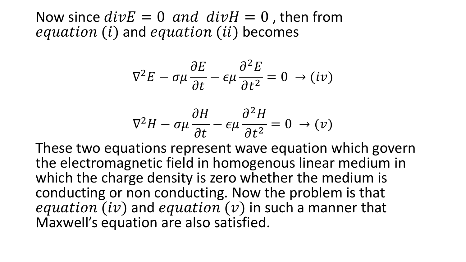Now since  $divE = 0$  and  $divH = 0$ , then from  $equation (i)$  and  $equation (ii)$  becomes

$$
\nabla^2 E - \sigma \mu \frac{\partial E}{\partial t} - \epsilon \mu \frac{\partial^2 E}{\partial t^2} = 0 \rightarrow (iv)
$$

$$
\nabla^2 H - \sigma \mu \frac{\partial H}{\partial t} - \epsilon \mu \frac{\partial^2 H}{\partial t^2} = 0 \rightarrow (v)
$$

These two equations represent wave equation which govern the electromagnetic field in homogenous linear medium in which the charge density is zero whether the medium is conducting or non conducting. Now the problem is that equation (iv) and equation (v) in such a manner that Maxwell's equation are also satisfied.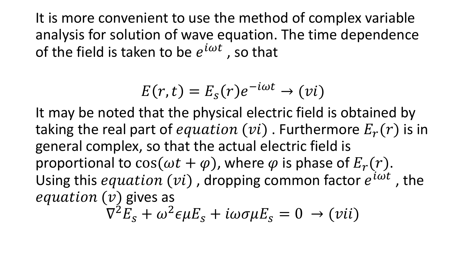It is more convenient to use the method of complex variable analysis for solution of wave equation. The time dependence of the field is taken to be  $e^{i\omega t}$  , so that

$$
E(r,t) = E_s(r)e^{-i\omega t} \rightarrow (vi)
$$

It may be noted that the physical electric field is obtained by taking the real part of equation (vi). Furthermore  $E_r(r)$  is in general complex, so that the actual electric field is proportional to  $\cos(\omega t + \varphi)$ , where  $\varphi$  is phase of  $E_r(r)$ . Using this equation  $(vi)$ , dropping common factor  $e^{i\omega t}$ , the equation  $(v)$  gives as

 $\nabla^2 E_s + \omega^2 \epsilon \mu E_s + i \omega \sigma \mu E_s = 0 \rightarrow (vii)$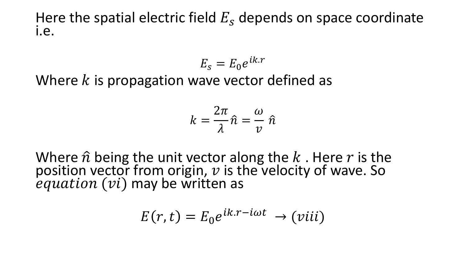Here the spatial electric field  $E_s$  depends on space coordinate i.e.

$$
E_s = E_0 e^{ik.r}
$$

Where  $k$  is propagation wave vector defined as

$$
k=\frac{2\pi}{\lambda}\hat{n}=\frac{\omega}{\nu}\hat{n}
$$

Where  $\hat{n}$  being the unit vector along the  $k$ . Here  $r$  is the position vector from origin,  $v$  is the velocity of wave. So  $equation (vi)$  may be written as

$$
E(r,t) = E_0 e^{ik.r - i\omega t} \rightarrow (viii)
$$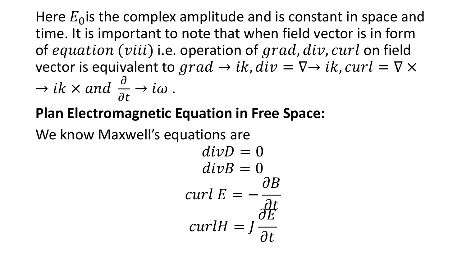Here  $E_0$  is the complex amplitude and is constant in space and time. It is important to note that when field vector is in form of equation (viii) i.e. operation of  $grad, div, curl$  on field vector is equivalent to grad  $\rightarrow$  ik,  $div = \nabla \rightarrow ik$ , curl =  $\nabla \times$ 

$$
\rightarrow
$$
 ik  $\times$  and  $\frac{\partial}{\partial t} \rightarrow i\omega$ .

## **Plan Electromagnetic Equation in Free Space:**

We know Maxwell's equations are

$$
divD = 0
$$
  
\n
$$
divB = 0
$$
  
\n
$$
curl E = -\frac{\partial B}{\partial t}
$$
  
\n
$$
curl H = J \frac{\partial E}{\partial t}
$$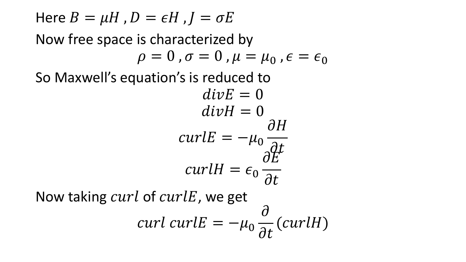Here  $B = \mu H$  ,  $D = \epsilon H$  ,  $J = \sigma E$ Now free space is characterized by  $\rho = 0$  ,  $\sigma = 0$  ,  $\mu = \mu_0$  ,  $\epsilon = \epsilon_0$ So Maxwell's equation's is reduced to  $div E = 0$  $divH = 0$  $curl E = -\mu_0$  $\partial H$  $\partial t$  $curl H = \epsilon_0$  $\partial E$  $\partial t$ Now taking  $curl$  of  $curl E$ , we get  $curl curl E = -\mu_0$  $\partial$  $\frac{1}{\partial t}$  (curlH)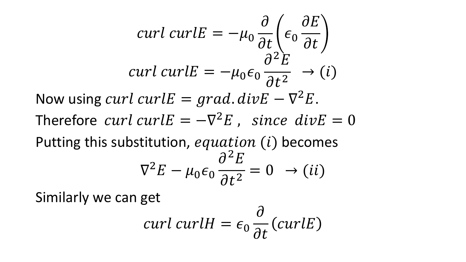$$
curl curl E = -\mu_0 \frac{\partial}{\partial t} \left( \epsilon_0 \frac{\partial E}{\partial t} \right)
$$
  
\n
$$
curl curl E = -\mu_0 \epsilon_0 \frac{\partial^2 E}{\partial t^2} \rightarrow (i)
$$
  
\nNow using curl curl E = grad. divE -  $\nabla^2 E$ .  
\nTherefore curl curl E = - $\nabla^2 E$ , since divE = 0  
\nPutting this substitution, equation (i) becomes  
\n
$$
\nabla^2 E - \mu_0 \epsilon_0 \frac{\partial^2 E}{\partial t^2} = 0 \rightarrow (ii)
$$

Similarly we can get

$$
curl curlH = \epsilon_0 \frac{\partial}{\partial t} (curlE)
$$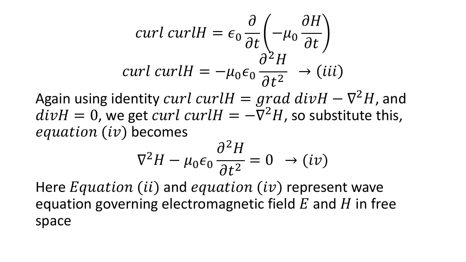$$
curl curl H = \epsilon_0 \frac{\partial}{\partial t} \left( -\mu_0 \frac{\partial H}{\partial t} \right)
$$
  
curl curl H =  $-\mu_0 \epsilon_0 \frac{\partial^2 H}{\partial t^2} \rightarrow (iii)$ 

Again using identity curl curl $H = grad$   $div H - \nabla^2 H$ , and  $divH = 0$ , we get *curl curlH* =  $-\overline{V}^2H$ , so substitute this,  $equation (iv)$  becomes

$$
\nabla^2 H - \mu_0 \epsilon_0 \frac{\partial^2 H}{\partial t^2} = 0 \rightarrow (iv)
$$

Here  $Equation (ii)$  and equation  $(iv)$  represent wave equation governing electromagnetic field  $E$  and  $H$  in free space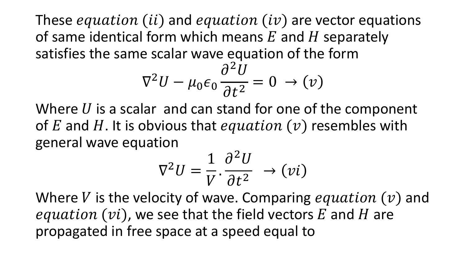These equation (ii) and equation (iv) are vector equations of same identical form which means  $E$  and  $H$  separately satisfies the same scalar wave equation of the form

$$
\nabla^2 U - \mu_0 \epsilon_0 \frac{\partial^2 U}{\partial t^2} = 0 \rightarrow (\nu)
$$

Where  $U$  is a scalar and can stand for one of the component of E and H. It is obvious that equation  $(v)$  resembles with general wave equation

$$
\nabla^2 U = \frac{1}{V} \cdot \frac{\partial^2 U}{\partial t^2} \rightarrow (\nu i)
$$

Where V is the velocity of wave. Comparing equation  $(v)$  and equation  $(vi)$ , we see that the field vectors E and H are propagated in free space at a speed equal to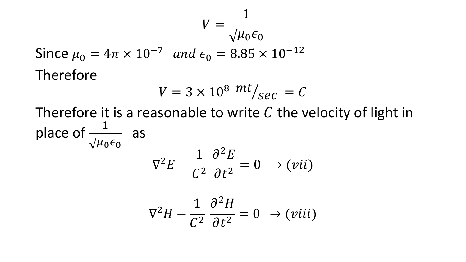$$
V = \frac{1}{\sqrt{\mu_0 \epsilon_0}}
$$

Since  $\mu_0 = 4\pi \times 10^{-7}$  and  $\epsilon_0 = 8.85 \times 10^{-12}$ Therefore

$$
V = 3 \times 10^8 \ m t /_{\text{sec}} = C
$$

Therefore it is a reasonable to write C the velocity of light in place of  $\frac{1}{\sqrt{1}}$  $\overline{\mu_0\epsilon_0}$ as  $\nabla^2 E -$ 1  $\mathcal{C}^2$  $\partial^2 E$  $\partial t^2$  $= 0 \rightarrow (vii)$  $\nabla^2 H -$ 1  $\mathcal{C}^2$  $\partial^2 H$  $\partial t^2$  $= 0 \rightarrow (viii)$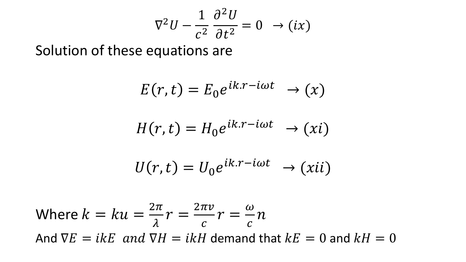$$
\nabla^2 U - \frac{1}{c^2} \frac{\partial^2 U}{\partial t^2} = 0 \rightarrow (ix)
$$

Solution of these equations are

$$
E(r,t) = E_0 e^{ik.r - i\omega t} \rightarrow (x)
$$

$$
H(r,t) = H_0 e^{ik.r - i\omega t} \rightarrow (xi)
$$

$$
U(r,t) = U_0 e^{ik.r - i\omega t} \rightarrow (xii)
$$

Where 
$$
k = ku = \frac{2\pi}{\lambda}r = \frac{2\pi v}{c}r = \frac{\omega}{c}n
$$
  
And  $\nabla E = ikE$  and  $\nabla H = ikH$  demand that  $kE = 0$  and  $kH = 0$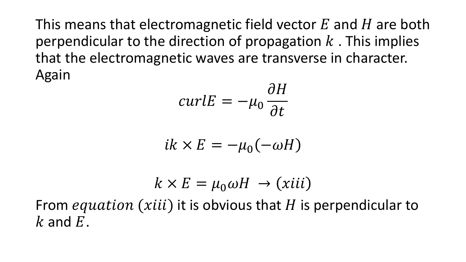This means that electromagnetic field vector  $E$  and  $H$  are both perpendicular to the direction of propagation  $k$ . This implies that the electromagnetic waves are transverse in character. Again

$$
curl E = -\mu_0 \frac{\partial H}{\partial t}
$$

$$
ik \times E = -\mu_0(-\omega H)
$$

$$
k \times E = \mu_0 \omega H \rightarrow (xiii)
$$

From *equation* (*xiii*) it is obvious that H is perpendicular to  $k$  and  $E$ .